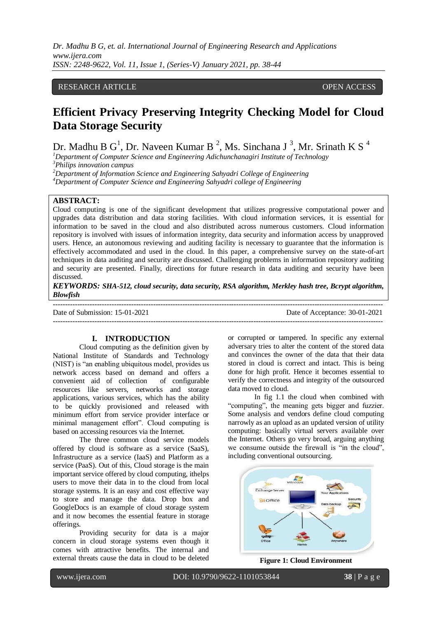*Dr. Madhu B G, et. al. International Journal of Engineering Research and Applications www.ijera.com ISSN: 2248-9622, Vol. 11, Issue 1, (Series-V) January 2021, pp. 38-44*

# RESEARCH ARTICLE **CONTRACT ARTICLE** AND A SERVICE OPEN ACCESS OPEN ACCESS

# **Efficient Privacy Preserving Integrity Checking Model for Cloud Data Storage Security**

Dr. Madhu B  $G^1$ , Dr. Naveen Kumar B<sup>2</sup>, Ms. Sinchana J<sup>3</sup>, Mr. Srinath K S<sup>4</sup>

*<sup>1</sup>Department of Computer Science and Engineering Adichunchanagiri Institute of Technology <sup>3</sup>Philips innovation campus*

*<sup>2</sup>Department of Information Science and Engineering Sahyadri College of Engineering*

*<sup>4</sup>Department of Computer Science and Engineering Sahyadri college of Engineering*

#### **ABSTRACT:**

Cloud computing is one of the significant development that utilizes progressive computational power and upgrades data distribution and data storing facilities. With cloud information services, it is essential for information to be saved in the cloud and also distributed across numerous customers. Cloud information repository is involved with issues of information integrity, data security and information access by unapproved users. Hence, an autonomous reviewing and auditing facility is necessary to guarantee that the information is effectively accommodated and used in the cloud. In this paper, a comprehensive survey on the state-of-art techniques in data auditing and security are discussed. Challenging problems in information repository auditing and security are presented. Finally, directions for future research in data auditing and security have been discussed.

*KEYWORDS: SHA-512, cloud security, data security, RSA algorithm, Merkley hash tree, Bcrypt algorithm, Blowfish* ---------------------------------------------------------------------------------------------------------------------------------------

Date of Submission: 15-01-2021 Date of Acceptance: 30-01-2021

---------------------------------------------------------------------------------------------------------------------------------------

# **I. INTRODUCTION**

Cloud computing as the definition given by National Institute of Standards and Technology (NIST) is "an enabling ubiquitous model, provides us network access based on demand and offers a convenient aid of collection of configurable resources like servers, networks and storage applications, various services, which has the ability to be quickly provisioned and released with minimum effort from service provider interface or minimal management effort". Cloud computing is based on accessing resources via the Internet.

The three common cloud service models offered by cloud is software as a service (SaaS), Infrastructure as a service (IaaS) and Platform as a service (PaaS). Out of this, Cloud storage is the main important service offered by cloud computing, ithelps users to move their data in to the cloud from local storage systems. It is an easy and cost effective way to store and manage the data. Drop box and GoogleDocs is an example of cloud storage system and it now becomes the essential feature in storage offerings.

Providing security for data is a major concern in cloud storage systems even though it comes with attractive benefits. The internal and external threats cause the data in cloud to be deleted

or corrupted or tampered. In specific any external adversary tries to alter the content of the stored data and convinces the owner of the data that their data stored in cloud is correct and intact. This is being done for high profit. Hence it becomes essential to verify the correctness and integrity of the outsourced data moved to cloud.

In fig 1.1 the cloud when combined with "computing", the meaning gets bigger and fuzzier. Some analysis and vendors define cloud computing narrowly as an upload as an updated version of utility computing: basically virtual servers available over the Internet. Others go very broad, arguing anything we consume outside the firewall is "in the cloud", including conventional outsourcing.



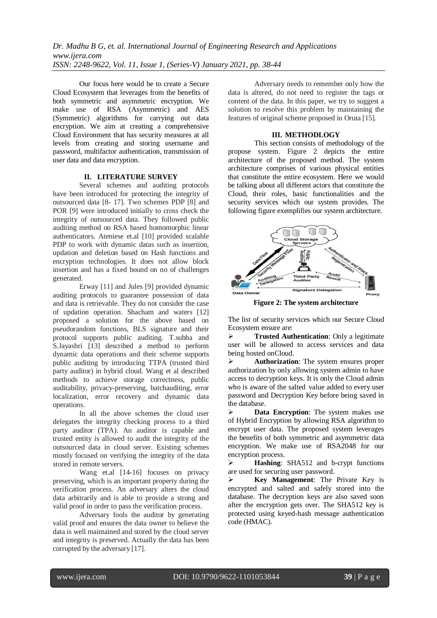Our focus here would be to create a Secure Cloud Ecosystem that leverages from the benefits of both symmetric and asymmetric encryption. We make use of RSA (Asymmetric) and AES (Symmetric) algorithms for carrying out data encryption. We aim at creating a comprehensive Cloud Environment that has security measures at all levels from creating and storing username and password, multifactor authentication, transmission of user data and data encryption.

# **II. LITERATURE SURVEY**

Several schemes and auditing protocols have been introduced for protecting the integrity of outsourced data [8- 17]. Two schemes PDP [8] and POR [9] were introduced initially to cross check the integrity of outsourced data. They followed public auditing method on RSA based homomorphic linear authenticators. Ateniese et.al [10] provided scalable PDP to work with dynamic datas such as insertion, updation and deletion based on Hash functions and encryption technologies. It does not allow block insertion and has a fixed bound on no of challenges generated.

Erway [11] and Jules [9] provided dynamic auditing protocols to guarantee possession of data and data is retrievable. They do not consider the case of updation operation. Shacham and waters [12] proposed a solution for the above based on pseudorandom functions, BLS signature and their protocol supports public auditing. T.subha and S.Jayashri [13] described a method to perform dynamic data operations and their scheme supports public auditing by introducing TTPA (trusted third party auditor) in hybrid cloud. Wang et al described methods to achieve storage correctness, public auditability, privacy-preserving, batchauditing, error localization, error recovery and dynamic data operations.

In all the above schemes the cloud user delegates the integrity checking process to a third party auditor (TPA). An auditor is capable and trusted entity is allowed to audit the integrity of the outsourced data in cloud server. Existing schemes mostly focused on verifying the integrity of the data stored in remote servers.

Wang et.al [14-16] focuses on privacy preserving, which is an important property during the verification process. An adversary alters the cloud data arbitrarily and is able to provide a strong and valid proof in order to pass the verification process.

Adversary fools the auditor by generating valid proof and ensures the data owner to believe the data is well maintained and stored by the cloud server and integrity is preserved. Actually the data has been corrupted by the adversary [17].

Adversary needs to remember only how the data is altered, do not need to register the tags or content of the data. In this paper, we try to suggest a solution to resolve this problem by maintaining the features of original scheme proposed in Oruta [15].

#### **III. METHODLOGY**

This section consists of methodology of the propose system. Figure 2 depicts the entire architecture of the proposed method. The system architecture comprises of various physical entities that constitute the entire ecosystem. Here we would be talking about all different actors that constitute the Cloud, their roles, basic functionalities and the security services which our system provides. The following figure exemplifies our system architecture.



**Figure 2: The system architecture**

The list of security services which our Secure Cloud Ecosystem ensure are:

**Trusted Authentication:** Only a legitimate user will be allowed to access services and data being hosted onCloud.

 **Authorization**: The system ensures proper authorization by only allowing system admin to have access to decryption keys. It is only the Cloud admin who is aware of the salted value added to every user password and Decryption Key before being saved in the database.

 **Data Encryption**: The system makes use of Hybrid Encryption by allowing RSA algorithm to encrypt user data. The proposed system leverages the benefits of both symmetric and asymmetric data encryption. We make use of RSA2048 for our encryption process.

 **Hashing**: SHA512 and b-crypt functions are used for securing user password.

 **Key Management**: The Private Key is encrypted and salted and safely stored into the database. The decryption keys are also saved soon after the encryption gets over. The SHA512 key is protected using keyed-hash message authentication code (HMAC).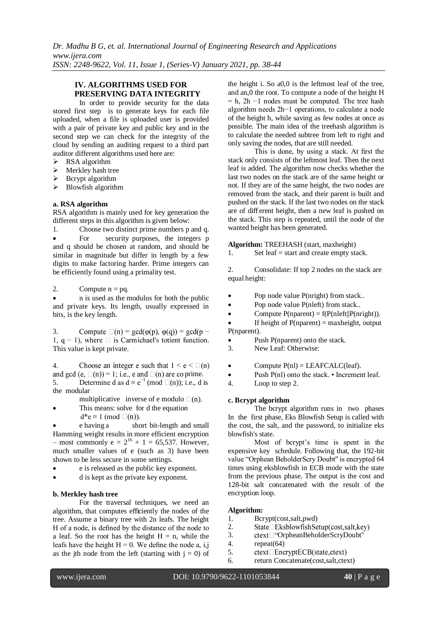# **IV. ALGORITHMS USED FOR PRESERVING DATA INTEGRITY**

In order to provide security for the data stored first step is to generate keys for each file uploaded, when a file is uploaded user is provided with a pair of private key and public key and in the second step we can check for the integrity of the cloud by sending an auditing request to a third part auditor different algorithms used here are:

- $\triangleright$  RSA algorithm
- $\triangleright$  Merkley hash tree
- $\triangleright$  Bcrypt algorithm
- $\triangleright$  Blowfish algorithm

#### **a. RSA algorithm**

RSA algorithm is mainly used for key generation the different steps in this algorithm is given below:

1. Choose two distinct prime numbers p and q. For security purposes, the integers p and q should be chosen at random, and should be similar in magnitude but differ in length by a few digits to make factoring harder. Prime integers can be efficiently found using a primality test.

2. Compute  $n = pq$ .

 n is used as the modulus for both the public and private keys. Its length, usually expressed in bits, is the key length.

3. Compute  $\square(n) = \gcd(\varphi(p), \varphi(q)) = \gcd(p -$ 1,  $q - 1$ ), where  $\Box$  is Carmichael's totient function. This value is kept private.

Choose an integer e such that  $1 \le e \le \square(n)$ 4. and gcd (e,  $\Box(n)$ ) = 1; i.e., e and  $\Box(n)$  are co prime. 5. Determine d as  $d \equiv e^{-1} \pmod{\square(n)}$ ; i.e., d is the modular

multiplicative inverse of e modulo  $\square(n)$ .

 This means: solve for d the equation  $d*e$  ≡ 1 (mod  $□(n)$ ).

 e having a short bit-length and small Hamming weight results in more efficient encryption – most commonly  $e = 2^{16} + 1 = 65,537$ . However, much smaller values of e (such as 3) have been shown to be less secure in some settings.

- e is released as the public key exponent.
- d is kept as the private key exponent.

# **b. Merkley hash tree**

For the traversal techniques, we need an algorithm, that computes efficiently the nodes of the tree. Assume a binary tree with 2n leafs. The height H of a node, is defined by the distance of the node to a leaf. So the root has the height  $H = n$ , while the leafs have the height  $H = 0$ . We define the node a, i,j as the jth node from the left (starting with  $j = 0$ ) of

the height i. So a0,0 is the leftmost leaf of the tree, and an,0 the root. To compute a node of the height H  $= h$ , 2h  $-1$  nodes must be computed. The tree hash algorithm needs 2h−1 operations, to calculate a node of the height h, while saving as few nodes at once as possible. The main idea of the treehash algorithm is to calculate the needed subtree from left to right and only saving the nodes, that are still needed.

This is done, by using a stack. At first the stack only consists of the leftmost leaf. Then the next leaf is added. The algorithm now checks whether the last two nodes on the stack are of the same height or not. If they are of the same height, the two nodes are removed from the stack, and their parent is built and pushed on the stack. If the last two nodes on the stack are of diff erent height, then a new leaf is pushed on the stack. This step is repeated, until the node of the wanted height has been generated.

**Algorithm:** TREEHASH (start, maxheight)

1. Set leaf = start and create empty stack.

2. Consolidate: If top 2 nodes on the stack are equal height:

- Pop node value P(nright) from stack..
- Pop node value P(nleft) from stack..
- Compute  $P$ (nparent) = f( $P$ (nleft|| $P$ (nright)).

If height of  $P$ (nparent) = maxheight, output P(nparent).

- Push P(nparent) onto the stack.
- 3. New Leaf: Otherwise:
- Compute  $P(nl) = LEAFCALC(leaf).$
- Push  $P(n)$  onto the stack. Increment leaf.
- 4. Loop to step 2.

#### **c. Bcrypt algorithm**

The bcrypt algorithm runs in two phases In the first phase, Eks Blowfish Setup is called with the cost, the salt, and the password, to initialize eks blowfish's state.

Most of bcrypt's time is spent in the expensive key schedule. Following that, the 192-bit value "Orphean BeholderScry Doubt'' is encrypted 64 times using eksblowfish in ECB mode with the state from the previous phase. The output is the cost and 128-bit salt concatenated with the result of the encryption loop.

# **Algorithm:**

- 1. Bcrypt(cost,salt,pwd)
- 2.  $State\Box$  Eksblowfish Setup(cost, salt, key)
- 3. ctext□ "OrpheanBeholderScryDoubt"
- 4. repeat(64)
- 5.  $ctext[$  EncryptECB(state.ctext)
- 6. return Concatenate(cost,salt,ctext)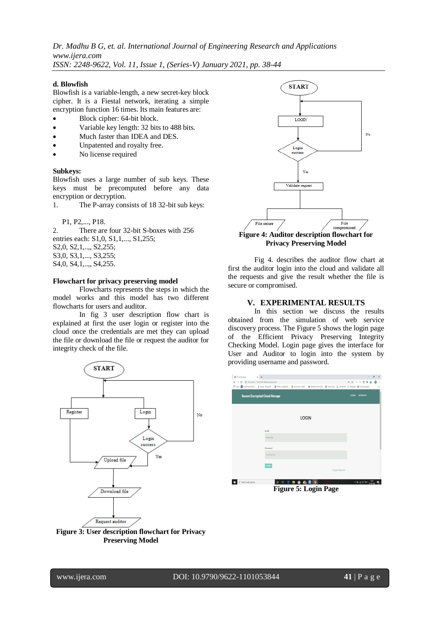*Dr. Madhu B G, et. al. International Journal of Engineering Research and Applications www.ijera.com*

*ISSN: 2248-9622, Vol. 11, Issue 1, (Series-V) January 2021, pp. 38-44*

# **d. Blowfish**

Blowfish is a variable-length, a new secret-key block cipher. It is a Fiestal network, iterating a simple encryption function 16 times. Its main features are:

- Block cipher: 64-bit block.
- Variable key length: 32 bits to 488 bits.
- Much faster than IDEA and DES.
- Unpatented and royalty free.
- No license required

# **Subkeys:**

Blowfish uses a large number of sub keys. These keys must be precomputed before any data encryption or decryption.

1. The P-array consists of 18 32-bit sub keys:

P1, P2,..., P18.

2. There are four 32-bit S-boxes with 256 entries each: S1,0, S1,1,..., S1,255; S2,0, S2,1,..,, S2,255; S3,0, S3,1,..., S3,255; S4,0, S4,1,..,, S4,255.

#### **Flowchart for privacy preserving model**

Flowcharts represents the steps in which the model works and this model has two different flowcharts for users and auditor.

In fig 3 user description flow chart is explained at first the user login or register into the cloud once the credentials are met they can upload the file or download the file or request the auditor for integrity check of the file.



**Figure 3: User description flowchart for Privacy Preserving Model**



# **Privacy Preserving Model**

Fig 4. describes the auditor flow chart at first the auditor login into the cloud and validate all the requests and give the result whether the file is secure or compromised.

# **V. EXPERIMENTAL RESULTS**

In this section we discuss the results obtained from the simulation of web service discovery process. The Figure 5 shows the login page of the Efficient Privacy Preserving Integrity Checking Model. Login page gives the interface for User and Auditor to login into the system by providing username and password.

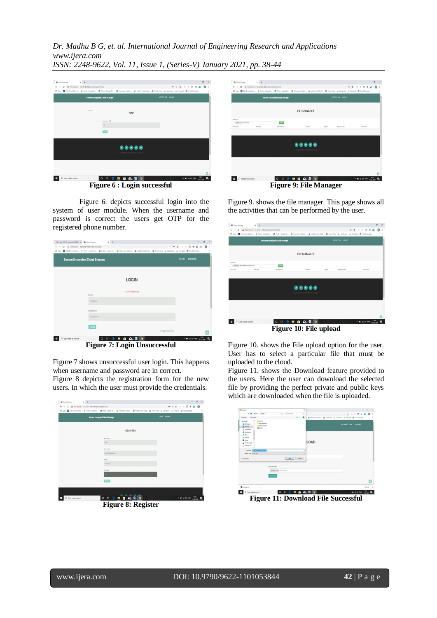*Dr. Madhu B G, et. al. International Journal of Engineering Research and Applications www.ijera.com*

*ISSN: 2248-9622, Vol. 11, Issue 1, (Series-V) January 2021, pp. 38-44*



Figure 6. depicts successful login into the system of user module. When the username and password is correct the users get OTP for the registered phone number.

| M Inbox (6.573) - supriyesk1998@ x @ Cloud Stoneage                                         | $x +$                                                                                                                                                              |     |                     |                 |            |                                              | $\sigma$ | $\times$ |
|---------------------------------------------------------------------------------------------|--------------------------------------------------------------------------------------------------------------------------------------------------------------------|-----|---------------------|-----------------|------------|----------------------------------------------|----------|----------|
| C © Not secure   13.127.87.100/index.php/acth<br>55<br>$\leftrightarrow$<br><b>ETT</b> Apps | Tota Diver Electic. & Photo - Societ Ph. @ Photo - Scople Ph. . @ Yearsvist - Wach. . @ Healthy Food Polic. . @ Prime Video > > Cashboard A Methods @ Coud Storage |     |                     |                 | 4 ☆<br>$Q$ | $\alpha$<br>厕<br>$\mathbf{a}$<br>٠           |          | a<br>×   |
|                                                                                             | <b>Secure Encrypted Cloud Storage</b>                                                                                                                              |     |                     |                 | LOGIN      | <b>REGISTER</b>                              |          |          |
|                                                                                             |                                                                                                                                                                    |     | <b>LOGIN</b>        |                 |            |                                              |          |          |
|                                                                                             | Frnall<br>Your Frant                                                                                                                                               |     | Invalid credentials |                 |            |                                              |          |          |
|                                                                                             | Password<br>Your Password                                                                                                                                          |     |                     |                 |            |                                              |          |          |
|                                                                                             | LOCAN                                                                                                                                                              |     |                     | Forgot Password |            |                                              |          |          |
| Type here to search<br>ö                                                                    | 법<br>$\circ$                                                                                                                                                       | e m | 自 配 回 9             |                 |            | $\sim$ 80 di 46 066 $\frac{2227}{3600,2000}$ |          | 喘        |

**Figure 7: Login Unsuccessful**

Figure 7 shows unsuccessful user login. This happens when username and password are in correct.

Figure 8 depicts the registration form for the new users. In which the user must provide the credentials.





**Figure 9: File Manager**

Figure 9. shows the file manager. This page shows all the activities that can be performed by the user.

| @ Coud Storesce                                                                         | $x +$                                                                                                                                                             |                                       |                                                                             |                               |        |                      |   |              |                                |                                                | $\sigma$ |
|-----------------------------------------------------------------------------------------|-------------------------------------------------------------------------------------------------------------------------------------------------------------------|---------------------------------------|-----------------------------------------------------------------------------|-------------------------------|--------|----------------------|---|--------------|--------------------------------|------------------------------------------------|----------|
| $\rightarrow$ C $\Delta$ Not secure   13.127.87.100/index.php/dashboard<br>$\leftarrow$ |                                                                                                                                                                   |                                       |                                                                             |                               |        |                      | a | $\mathbf{Q}$ | $\mathbb{Q}$<br>$\overline{v}$ |                                                |          |
| Apps                                                                                    | Tota Diver Detroit, J. Picto - Google Rt., @ Picto - Google Rt., @ Wampvies - Watch., @ Healthy Food Picks., @ Final Video > Davidoped A Festigad @ Cloud Storage |                                       |                                                                             |                               |        |                      |   |              |                                |                                                |          |
|                                                                                         |                                                                                                                                                                   | <b>Secure Encrypted Cloud Storage</b> |                                                                             |                               |        | ACTIVITY LOG LOGOUT  |   |              |                                |                                                |          |
|                                                                                         |                                                                                                                                                                   |                                       | <b>FILE MANAGER</b>                                                         |                               |        |                      |   |              |                                |                                                |          |
| <b>AddiTes</b><br>Choose File I efficient duty storage mexitizing                       |                                                                                                                                                                   | w.                                    |                                                                             |                               |        |                      |   |              |                                |                                                |          |
| File-Name                                                                               | Fle Type                                                                                                                                                          | Uphashed On                           |                                                                             | <b>Fevole</b>                 | Delste | <b>Request Audit</b> |   |              | Download                       |                                                |          |
|                                                                                         |                                                                                                                                                                   |                                       | $\begin{array}{lcl} \bullet\bullet\bullet\bullet\bullet\bullet \end{array}$ | grew interferences Coal David |        |                      |   |              |                                |                                                |          |
|                                                                                         |                                                                                                                                                                   |                                       |                                                                             |                               |        |                      |   |              |                                |                                                |          |
| Start a web search                                                                      |                                                                                                                                                                   | e<br>斷<br>$\circ$                     | 日自命回り                                                                       |                               |        |                      |   |              |                                | $\sim$ 30 at 40 1945 $\frac{150^9}{1140,2000}$ | Δ.       |
|                                                                                         |                                                                                                                                                                   |                                       | Figure 10: File upload                                                      |                               |        |                      |   |              |                                |                                                |          |

Figure 10. shows the File upload option for the user. User has to select a particular file that must be uploaded to the cloud.

Figure 11. shows the Download feature provided to the users. Here the user can download the selected file by providing the perfect private and public keys which are downloaded when the file is uploaded.



**Figure 11: Download File Successful**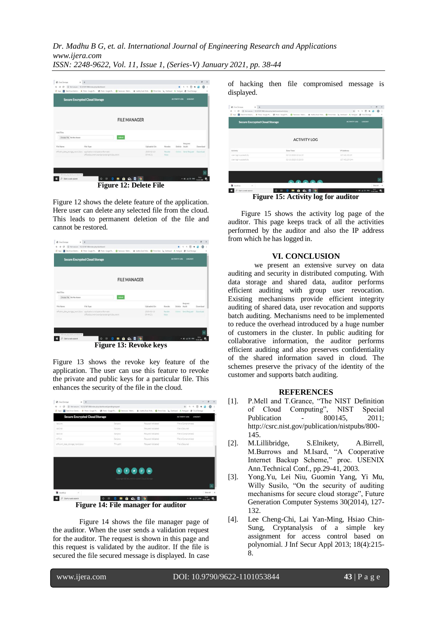*Dr. Madhu B G, et. al. International Journal of Engineering Research and Applications www.ijera.com*

*ISSN: 2248-9622, Vol. 11, Issue 1, (Series-V) January 2021, pp. 38-44*



**Figure 12: Delete File**

Figure 12 shows the delete feature of the application. Here user can delete any selected file from the cloud. This leads to permanent deletion of the file and cannot be restored.



Figure 13 shows the revoke key feature of the application. The user can use this feature to revoke the private and public keys for a particular file. This enhances the security of the file in the cloud.

| $x +$<br>@ Coud Storesge                                                               |                                                                                                                                                                                                      |                                                                                                                                                                  | $\times$<br>ä                                        |
|----------------------------------------------------------------------------------------|------------------------------------------------------------------------------------------------------------------------------------------------------------------------------------------------------|------------------------------------------------------------------------------------------------------------------------------------------------------------------|------------------------------------------------------|
| 13.127.87.100/index.php/dashboard/pendingrequest<br>×<br>G.<br>$\leftarrow$<br>HI Apps |                                                                                                                                                                                                      | Tota Diver Electric. . (A Prime Coople Pt., @ Prime Coople Pt., @ Wamavies Wach., @ Healthy Food Public. @ Frime Video > > Cashboard A Neshingto @ Cloud Screege | ÷.<br>a                                              |
| <b>Secure Encrypted Cloud Storage</b>                                                  |                                                                                                                                                                                                      |                                                                                                                                                                  | LOCOUT<br><b>ACTIVITY LOG</b>                        |
| lab1.bt                                                                                | Sanjara                                                                                                                                                                                              | Request Validated                                                                                                                                                | File is Compromised                                  |
| lab2.bz                                                                                | Sanjana                                                                                                                                                                                              | Request Validated                                                                                                                                                | File is Secured                                      |
| lab3 tat                                                                               | Sarjara                                                                                                                                                                                              | Request Validated                                                                                                                                                | File is Compromised                                  |
| Affas                                                                                  | Sarjana.                                                                                                                                                                                             | Request Validated                                                                                                                                                | File is Compromised                                  |
| efficient_data_storage_new2.docx                                                       | Thrupthi                                                                                                                                                                                             | Request Validated                                                                                                                                                | File is Secured                                      |
|                                                                                        | $\begin{array}{c} \textcircled{\small{A}} \textcircled{\small{B}} \textcircled{\small{B}} \textcircled{\small{B}} \textcircled{\small{B}} \end{array}$<br>Copyright @ Secure Encrypted Cloud Storage |                                                                                                                                                                  |                                                      |
| keys46.sp<br>$\lambda$                                                                 |                                                                                                                                                                                                      |                                                                                                                                                                  |                                                      |
|                                                                                        |                                                                                                                                                                                                      |                                                                                                                                                                  | Show all<br>$\mathbf{x}$                             |
| O Start a web search                                                                   | Ħ<br>ົ<br>m<br>6.<br>門                                                                                                                                                                               | ۰<br>ø                                                                                                                                                           | 15:70<br>$\wedge$ 30 $\pm$ 40 ING<br>喝<br>13.00.0020 |

**Figure 14: File manager for auditor**

Figure 14 shows the file manager page of the auditor. When the user sends a validation request for the auditor. The request is shown in this page and this request is validated by the auditor. If the file is secured the file secured message is displayed. In case

of hacking then file compromised message is displayed.

| @ Coud Storeage<br>$x +$                                                                             |                                                                                                                                                                            | $\sigma$<br>$\overline{\phantom{a}}$ |
|------------------------------------------------------------------------------------------------------|----------------------------------------------------------------------------------------------------------------------------------------------------------------------------|--------------------------------------|
| $\rightarrow$ $C$ $\odot$ Not secure   13.127.87.100/index.php/dashboard/activitylog<br>$\leftarrow$ |                                                                                                                                                                            | $Q = Q$<br>$\mathbb{Q}$<br>$\pi$     |
|                                                                                                      | E Apps E Data Diver Electric. & Photo - Goode Ph., @ Photo - Google Ph., @ Yeomoves - Waldk., Pealthy Food Polity. @ Pierre Video De Databased A. PrePared @ Cloud Screene |                                      |
| <b>Secure Encrypted Cloud Storage</b>                                                                |                                                                                                                                                                            | <b>ACTIVITY LOG</b><br>LOGOUT        |
|                                                                                                      | <b>ACTIVITY LOG</b>                                                                                                                                                        |                                      |
|                                                                                                      |                                                                                                                                                                            |                                      |
| Activity                                                                                             | Date Time                                                                                                                                                                  | IP Address                           |
|                                                                                                      | 02-13-2020 15:16:19                                                                                                                                                        | 157.45.192.29                        |
| User login successfully<br>User login successfully                                                   | 02-13-2020 15:20:03                                                                                                                                                        | 157,45,229,244                       |
|                                                                                                      |                                                                                                                                                                            |                                      |
|                                                                                                      |                                                                                                                                                                            |                                      |
|                                                                                                      | <b>AA</b>                                                                                                                                                                  |                                      |

**Figure 15: Activity log for auditor**

Figure 15 shows the activity log page of the auditor. This page keeps track of all the activities performed by the auditor and also the IP address from which he has logged in.

# **VI. CONCLUSION**

we present an extensive survey on data auditing and security in distributed computing. With data storage and shared data, auditor performs efficient auditing with group user revocation. Existing mechanisms provide efficient integrity auditing of shared data, user revocation and supports batch auditing. Mechanisms need to be implemented to reduce the overhead introduced by a huge number of customers in the cluster. In public auditing for collaborative information, the auditor performs efficient auditing and also preserves confidentiality of the shared information saved in cloud. The schemes preserve the privacy of the identity of the customer and supports batch auditing.

# **REFERENCES**

- [1]. P.Mell and T.Grance, "The NIST Definition of Cloud Computing", NIST Special Publication - 800145, 2011[;](http://csrc.nist.gov/publication/nistpubs/800-145) [http://csrc.nist.gov/publication/nistpubs/800-](http://csrc.nist.gov/publication/nistpubs/800-145) [145.](http://csrc.nist.gov/publication/nistpubs/800-145)
- [2]. M.Lillibridge, S.Elnikety, A.Birrell, M.Burrows and M.Isard, "A Cooperative Internet Backup Scheme," proc. USENIX Ann.Technical Conf., pp.29-41, 2003.
- [3]. Yong.Yu, Lei Niu, Guomin Yang, Yi Mu, Willy Susilo, "On the security of auditing mechanisms for secure cloud storage", Future Generation Computer Systems 30(2014), 127- 132.
- [4]. Lee Cheng-Chi, Lai Yan-Ming, Hsiao Chin-Sung, Cryptanalysis of a simple key assignment for access control based on polynomial. J Inf Secur Appl 2013; 18(4):215- 8.